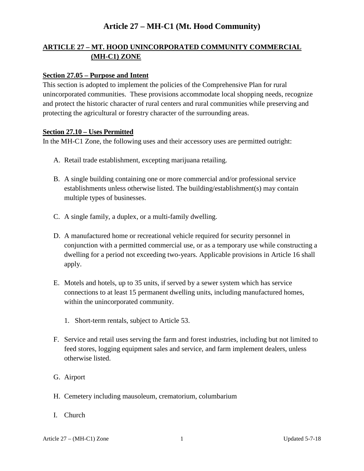### **ARTICLE 27 – MT. HOOD UNINCORPORATED COMMUNITY COMMERCIAL (MH-C1) ZONE**

#### **Section 27.05 – Purpose and Intent**

This section is adopted to implement the policies of the Comprehensive Plan for rural unincorporated communities. These provisions accommodate local shopping needs, recognize and protect the historic character of rural centers and rural communities while preserving and protecting the agricultural or forestry character of the surrounding areas.

#### **Section 27.10 – Uses Permitted**

In the MH-C1 Zone, the following uses and their accessory uses are permitted outright:

- A. Retail trade establishment, excepting marijuana retailing.
- B. A single building containing one or more commercial and/or professional service establishments unless otherwise listed. The building/establishment(s) may contain multiple types of businesses.
- C. A single family, a duplex, or a multi-family dwelling.
- D. A manufactured home or recreational vehicle required for security personnel in conjunction with a permitted commercial use, or as a temporary use while constructing a dwelling for a period not exceeding two-years. Applicable provisions in Article 16 shall apply.
- E. Motels and hotels, up to 35 units, if served by a sewer system which has service connections to at least 15 permanent dwelling units, including manufactured homes, within the unincorporated community.
	- 1. Short-term rentals, subject to Article 53.
- F. Service and retail uses serving the farm and forest industries, including but not limited to feed stores, logging equipment sales and service, and farm implement dealers, unless otherwise listed.
- G. Airport
- H. Cemetery including mausoleum, crematorium, columbarium
- I. Church

Article 27 – (MH-C1) Zone 1 1 Updated 5-7-18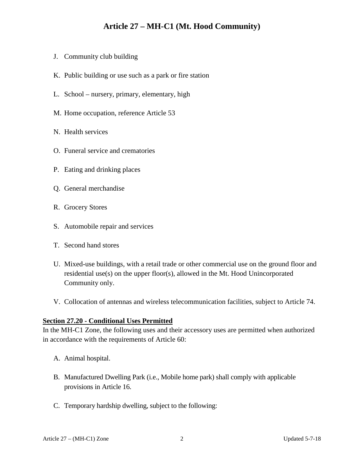- J. Community club building
- K. Public building or use such as a park or fire station
- L. School nursery, primary, elementary, high
- M. Home occupation, reference Article 53
- N. Health services
- O. Funeral service and crematories
- P. Eating and drinking places
- Q. General merchandise
- R. Grocery Stores
- S. Automobile repair and services
- T. Second hand stores
- U. Mixed-use buildings, with a retail trade or other commercial use on the ground floor and residential use(s) on the upper floor(s), allowed in the Mt. Hood Unincorporated Community only.
- V. Collocation of antennas and wireless telecommunication facilities, subject to Article 74.

#### **Section 27.20 - Conditional Uses Permitted**

In the MH-C1 Zone, the following uses and their accessory uses are permitted when authorized in accordance with the requirements of Article 60:

- A. Animal hospital.
- B. Manufactured Dwelling Park (i.e., Mobile home park) shall comply with applicable provisions in Article 16.
- C. Temporary hardship dwelling, subject to the following: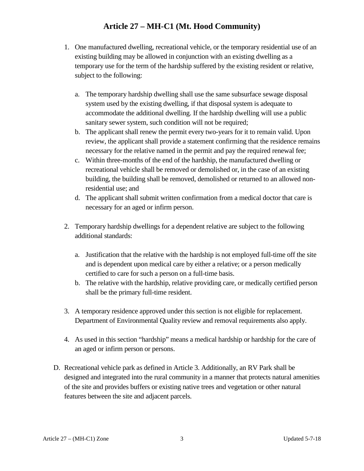- 1. One manufactured dwelling, recreational vehicle, or the temporary residential use of an existing building may be allowed in conjunction with an existing dwelling as a temporary use for the term of the hardship suffered by the existing resident or relative, subject to the following:
	- a. The temporary hardship dwelling shall use the same subsurface sewage disposal system used by the existing dwelling, if that disposal system is adequate to accommodate the additional dwelling. If the hardship dwelling will use a public sanitary sewer system, such condition will not be required;
	- b. The applicant shall renew the permit every two-years for it to remain valid. Upon review, the applicant shall provide a statement confirming that the residence remains necessary for the relative named in the permit and pay the required renewal fee;
	- c. Within three-months of the end of the hardship, the manufactured dwelling or recreational vehicle shall be removed or demolished or, in the case of an existing building, the building shall be removed, demolished or returned to an allowed nonresidential use; and
	- d. The applicant shall submit written confirmation from a medical doctor that care is necessary for an aged or infirm person.
- 2. Temporary hardship dwellings for a dependent relative are subject to the following additional standards:
	- a. Justification that the relative with the hardship is not employed full-time off the site and is dependent upon medical care by either a relative; or a person medically certified to care for such a person on a full-time basis.
	- b. The relative with the hardship, relative providing care, or medically certified person shall be the primary full-time resident.
- 3. A temporary residence approved under this section is not eligible for replacement. Department of Environmental Quality review and removal requirements also apply.
- 4. As used in this section "hardship" means a medical hardship or hardship for the care of an aged or infirm person or persons.
- D. Recreational vehicle park as defined in Article 3. Additionally, an RV Park shall be designed and integrated into the rural community in a manner that protects natural amenities of the site and provides buffers or existing native trees and vegetation or other natural features between the site and adjacent parcels.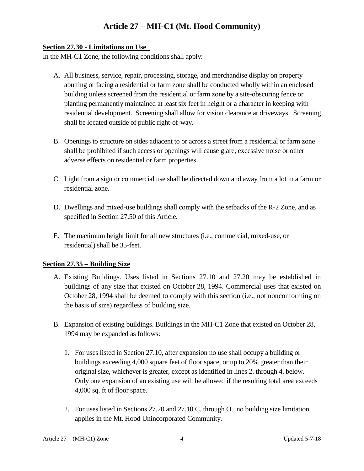#### **Section 27.30 - Limitations on Use**

In the MH-C1 Zone, the following conditions shall apply:

- A. All business, service, repair, processing, storage, and merchandise display on property abutting or facing a residential or farm zone shall be conducted wholly within an enclosed building unless screened from the residential or farm zone by a site-obscuring fence or planting permanently maintained at least six feet in height or a character in keeping with residential development. Screening shall allow for vision clearance at driveways. Screening shall be located outside of public right-of-way.
- B. Openings to structure on sides adjacent to or across a street from a residential or farm zone shall be prohibited if such access or openings will cause glare, excessive noise or other adverse effects on residential or farm properties.
- C. Light from a sign or commercial use shall be directed down and away from a lot in a farm or residential zone.
- D. Dwellings and mixed-use buildings shall comply with the setbacks of the R-2 Zone, and as specified in Section 27.50 of this Article.
- E. The maximum height limit for all new structures (i.e., commercial, mixed-use, or residential) shall be 35-feet.

### **Section 27.35 – Building Size**

- A. Existing Buildings. Uses listed in Sections 27.10 and 27.20 may be established in buildings of any size that existed on October 28, 1994. Commercial uses that existed on October 28, 1994 shall be deemed to comply with this section (i.e., not nonconforming on the basis of size) regardless of building size.
- B. Expansion of existing buildings. Buildings in the MH-C1 Zone that existed on October 28, 1994 may be expanded as follows:
	- 1. For uses listed in Section 27.10, after expansion no use shall occupy a building or buildings exceeding 4,000 square feet of floor space, or up to 20% greater than their original size, whichever is greater, except as identified in lines 2. through 4. below. Only one expansion of an existing use will be allowed if the resulting total area exceeds 4,000 sq. ft of floor space.
	- 2. For uses listed in Sections 27.20 and 27.10 C. through O., no building size limitation applies in the Mt. Hood Unincorporated Community.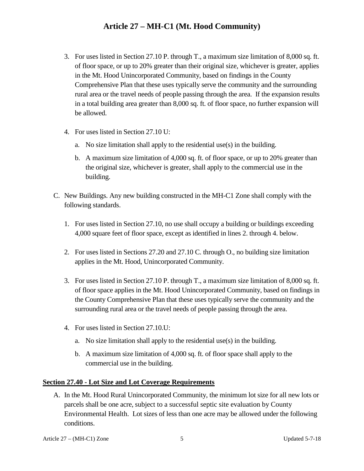- 3. For uses listed in Section 27.10 P. through T., a maximum size limitation of 8,000 sq. ft. of floor space, or up to 20% greater than their original size, whichever is greater, applies in the Mt. Hood Unincorporated Community, based on findings in the County Comprehensive Plan that these uses typically serve the community and the surrounding rural area or the travel needs of people passing through the area. If the expansion results in a total building area greater than 8,000 sq. ft. of floor space, no further expansion will be allowed.
- 4. For uses listed in Section 27.10 U:
	- a. No size limitation shall apply to the residential use(s) in the building.
	- b. A maximum size limitation of 4,000 sq. ft. of floor space, or up to 20% greater than the original size, whichever is greater, shall apply to the commercial use in the building.
- C. New Buildings. Any new building constructed in the MH-C1 Zone shall comply with the following standards.
	- 1. For uses listed in Section 27.10, no use shall occupy a building or buildings exceeding 4,000 square feet of floor space, except as identified in lines 2. through 4. below.
	- 2. For uses listed in Sections 27.20 and 27.10 C. through O., no building size limitation applies in the Mt. Hood, Unincorporated Community.
	- 3. For uses listed in Section 27.10 P. through T., a maximum size limitation of 8,000 sq. ft. of floor space applies in the Mt. Hood Unincorporated Community, based on findings in the County Comprehensive Plan that these uses typically serve the community and the surrounding rural area or the travel needs of people passing through the area.
	- 4. For uses listed in Section 27.10.U:
		- a. No size limitation shall apply to the residential use(s) in the building.
		- b. A maximum size limitation of 4,000 sq. ft. of floor space shall apply to the commercial use in the building.

#### **Section 27.40 - Lot Size and Lot Coverage Requirements**

A. In the Mt. Hood Rural Unincorporated Community, the minimum lot size for all new lots or parcels shall be one acre, subject to a successful septic site evaluation by County Environmental Health. Lot sizes of less than one acre may be allowed under the following conditions.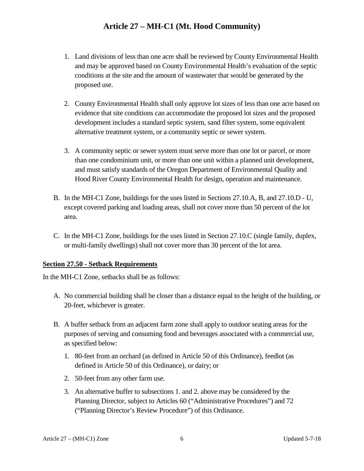- 1. Land divisions of less than one acre shall be reviewed by County Environmental Health and may be approved based on County Environmental Health's evaluation of the septic conditions at the site and the amount of wastewater that would be generated by the proposed use.
- 2. County Environmental Health shall only approve lot sizes of less than one acre based on evidence that site conditions can accommodate the proposed lot sizes and the proposed development includes a standard septic system, sand filter system, some equivalent alternative treatment system, or a community septic or sewer system.
- 3. A community septic or sewer system must serve more than one lot or parcel, or more than one condominium unit, or more than one unit within a planned unit development, and must satisfy standards of the Oregon Department of Environmental Quality and Hood River County Environmental Health for design, operation and maintenance.
- B. In the MH-C1 Zone, buildings for the uses listed in Sections 27.10.A, B, and 27.10.D U, except covered parking and loading areas, shall not cover more than 50 percent of the lot area.
- C. In the MH-C1 Zone, buildings for the uses listed in Section 27.10.C (single family, duplex, or multi-family dwellings) shall not cover more than 30 percent of the lot area.

### **Section 27.50 - Setback Requirements**

In the MH-C1 Zone, setbacks shall be as follows:

- A. No commercial building shall be closer than a distance equal to the height of the building, or 20-feet, whichever is greater.
- B. A buffer setback from an adjacent farm zone shall apply to outdoor seating areas for the purposes of serving and consuming food and beverages associated with a commercial use, as specified below:
	- 1. 80-feet from an orchard (as defined in Article 50 of this Ordinance), feedlot (as defined in Article 50 of this Ordinance), or dairy; or
	- 2. 50-feet from any other farm use.
	- 3. An alternative buffer to subsections 1. and 2. above may be considered by the Planning Director, subject to Articles 60 ("Administrative Procedures") and 72 ("Planning Director's Review Procedure") of this Ordinance.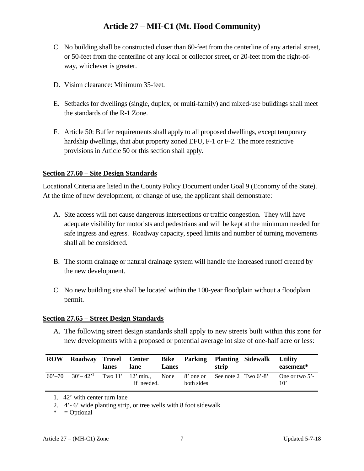- C. No building shall be constructed closer than 60-feet from the centerline of any arterial street, or 50-feet from the centerline of any local or collector street, or 20-feet from the right-ofway, whichever is greater.
- D. Vision clearance: Minimum 35-feet.
- E. Setbacks for dwellings (single, duplex, or multi-family) and mixed-use buildings shall meet the standards of the R-1 Zone.
- F. Article 50: Buffer requirements shall apply to all proposed dwellings, except temporary hardship dwellings, that abut property zoned EFU, F-1 or F-2. The more restrictive provisions in Article 50 or this section shall apply.

#### **Section 27.60 – Site Design Standards**

Locational Criteria are listed in the County Policy Document under Goal 9 (Economy of the State). At the time of new development, or change of use, the applicant shall demonstrate:

- A. Site access will not cause dangerous intersections or traffic congestion. They will have adequate visibility for motorists and pedestrians and will be kept at the minimum needed for safe ingress and egress. Roadway capacity, speed limits and number of turning movements shall all be considered.
- B. The storm drainage or natural drainage system will handle the increased runoff created by the new development.
- C. No new building site shall be located within the 100-year floodplain without a floodplain permit.

#### **Section 27.65 – Street Design Standards**

A. The following street design standards shall apply to new streets built within this zone for new developments with a proposed or potential average lot size of one-half acre or less:

| <b>ROW</b> | Roadway Travel Center   | lanes | lane                                                                | <b>Lanes</b> |            | strip | Bike Parking Planting Sidewalk Utility | easement*                         |
|------------|-------------------------|-------|---------------------------------------------------------------------|--------------|------------|-------|----------------------------------------|-----------------------------------|
|            | $60' - 70'$ $30' - 42'$ |       | Two 11' 12' min., None 8' one or See note 2 Two 6'-8'<br>if needed. |              | both sides |       |                                        | One or two $5'$ -<br>$10^{\circ}$ |

<sup>1. 42&#</sup>x27; with center turn lane

 $* = Optional$ 

<sup>2.</sup> 4'- 6' wide planting strip, or tree wells with 8 foot sidewalk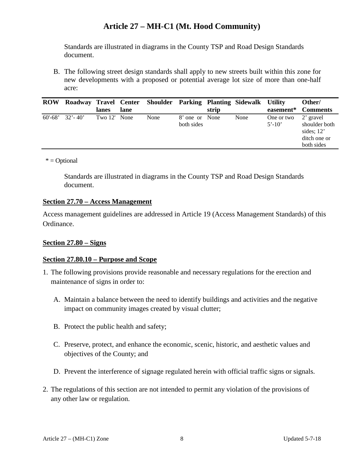Standards are illustrated in diagrams in the County TSP and Road Design Standards document.

B. The following street design standards shall apply to new streets built within this zone for new developments with a proposed or potential average lot size of more than one-half acre:

| <b>ROW</b>  |             |              |      | Roadway Travel Center Shoulder Parking Planting Sidewalk Utility |                              |       |      |                          | Other/                                                                   |
|-------------|-------------|--------------|------|------------------------------------------------------------------|------------------------------|-------|------|--------------------------|--------------------------------------------------------------------------|
|             |             | lanes        | lane |                                                                  |                              | strip |      |                          | easement* Comments                                                       |
| $60' - 68'$ | $32' - 40'$ | Two 12' None |      | None                                                             | 8' one or None<br>both sides |       | None | One or two<br>$5' - 10'$ | 2' gravel<br>shoulder both<br>sides; $12'$<br>ditch one or<br>both sides |

 $*$  = Optional

Standards are illustrated in diagrams in the County TSP and Road Design Standards document.

#### **Section 27.70 – Access Management**

Access management guidelines are addressed in Article 19 (Access Management Standards) of this Ordinance.

#### **Section 27.80 – Signs**

#### **Section 27.80.10 – Purpose and Scope**

- 1. The following provisions provide reasonable and necessary regulations for the erection and maintenance of signs in order to:
	- A. Maintain a balance between the need to identify buildings and activities and the negative impact on community images created by visual clutter;
	- B. Protect the public health and safety;
	- C. Preserve, protect, and enhance the economic, scenic, historic, and aesthetic values and objectives of the County; and
	- D. Prevent the interference of signage regulated herein with official traffic signs or signals.
- 2. The regulations of this section are not intended to permit any violation of the provisions of any other law or regulation.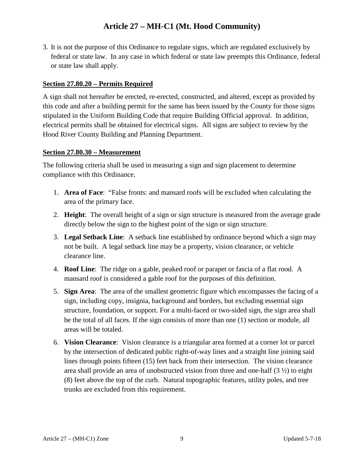3. It is not the purpose of this Ordinance to regulate signs, which are regulated exclusively by federal or state law. In any case in which federal or state law preempts this Ordinance, federal or state law shall apply.

### **Section 27.80.20 – Permits Required**

A sign shall not hereafter be erected, re-erected, constructed, and altered, except as provided by this code and after a building permit for the same has been issued by the County for those signs stipulated in the Uniform Building Code that require Building Official approval. In addition, electrical permits shall be obtained for electrical signs. All signs are subject to review by the Hood River County Building and Planning Department.

#### **Section 27.80.30 – Measurement**

The following criteria shall be used in measuring a sign and sign placement to determine compliance with this Ordinance.

- 1. **Area of Face**: "False fronts: and mansard roofs will be excluded when calculating the area of the primary face.
- 2. **Height**: The overall height of a sign or sign structure is measured from the average grade directly below the sign to the highest point of the sign or sign structure.
- 3. **Legal Setback Line**: A setback line established by ordinance beyond which a sign may not be built. A legal setback line may be a property, vision clearance, or vehicle clearance line.
- 4. **Roof Line**: The ridge on a gable, peaked roof or parapet or fascia of a flat rood. A mansard roof is considered a gable roof for the purposes of this definition.
- 5. **Sign Area**: The area of the smallest geometric figure which encompasses the facing of a sign, including copy, insignia, background and borders, but excluding essential sign structure, foundation, or support. For a multi-faced or two-sided sign, the sign area shall be the total of all faces. If the sign consists of more than one (1) section or module, all areas will be totaled.
- 6. **Vision Clearance**: Vision clearance is a triangular area formed at a corner lot or parcel by the intersection of dedicated public right-of-way lines and a straight line joining said lines through points fifteen (15) feet back from their intersection. The vision clearance area shall provide an area of unobstructed vision from three and one-half  $(3 \frac{1}{2})$  to eight (8) feet above the top of the curb. Natural topographic features, utility poles, and tree trunks are excluded from this requirement.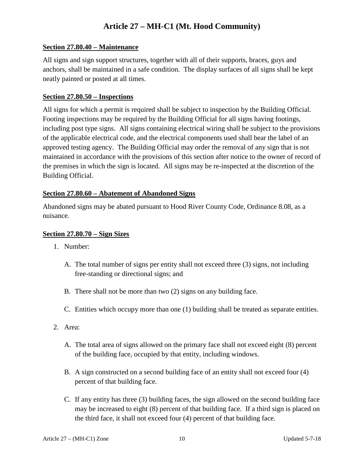#### **Section 27.80.40 – Maintenance**

All signs and sign support structures, together with all of their supports, braces, guys and anchors, shall be maintained in a safe condition. The display surfaces of all signs shall be kept neatly painted or posted at all times.

#### **Section 27.80.50 – Inspections**

All signs for which a permit is required shall be subject to inspection by the Building Official. Footing inspections may be required by the Building Official for all signs having footings, including post type signs. All signs containing electrical wiring shall be subject to the provisions of the applicable electrical code, and the electrical components used shall bear the label of an approved testing agency. The Building Official may order the removal of any sign that is not maintained in accordance with the provisions of this section after notice to the owner of record of the premises in which the sign is located. All signs may be re-inspected at the discretion of the Building Official.

#### **Section 27.80.60 – Abatement of Abandoned Signs**

Abandoned signs may be abated pursuant to Hood River County Code, Ordinance 8.08, as a nuisance.

#### **Section 27.80.70 – Sign Sizes**

- 1. Number:
	- A. The total number of signs per entity shall not exceed three (3) signs, not including free-standing or directional signs; and
	- B. There shall not be more than two (2) signs on any building face.
	- C. Entities which occupy more than one (1) building shall be treated as separate entities.
- 2. Area:
	- A. The total area of signs allowed on the primary face shall not exceed eight (8) percent of the building face, occupied by that entity, including windows.
	- B. A sign constructed on a second building face of an entity shall not exceed four (4) percent of that building face.
	- C. If any entity has three (3) building faces, the sign allowed on the second building face may be increased to eight (8) percent of that building face. If a third sign is placed on the third face, it shall not exceed four (4) percent of that building face.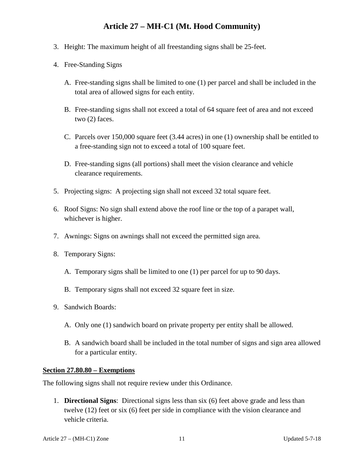- 3. Height: The maximum height of all freestanding signs shall be 25-feet.
- 4. Free-Standing Signs
	- A. Free-standing signs shall be limited to one (1) per parcel and shall be included in the total area of allowed signs for each entity.
	- B. Free-standing signs shall not exceed a total of 64 square feet of area and not exceed two (2) faces.
	- C. Parcels over 150,000 square feet (3.44 acres) in one (1) ownership shall be entitled to a free-standing sign not to exceed a total of 100 square feet.
	- D. Free-standing signs (all portions) shall meet the vision clearance and vehicle clearance requirements.
- 5. Projecting signs: A projecting sign shall not exceed 32 total square feet.
- 6. Roof Signs: No sign shall extend above the roof line or the top of a parapet wall, whichever is higher.
- 7. Awnings: Signs on awnings shall not exceed the permitted sign area.
- 8. Temporary Signs:
	- A. Temporary signs shall be limited to one (1) per parcel for up to 90 days.
	- B. Temporary signs shall not exceed 32 square feet in size.
- 9. Sandwich Boards:
	- A. Only one (1) sandwich board on private property per entity shall be allowed.
	- B. A sandwich board shall be included in the total number of signs and sign area allowed for a particular entity.

#### **Section 27.80.80 – Exemptions**

The following signs shall not require review under this Ordinance.

1. **Directional Signs**: Directional signs less than six (6) feet above grade and less than twelve (12) feet or six (6) feet per side in compliance with the vision clearance and vehicle criteria.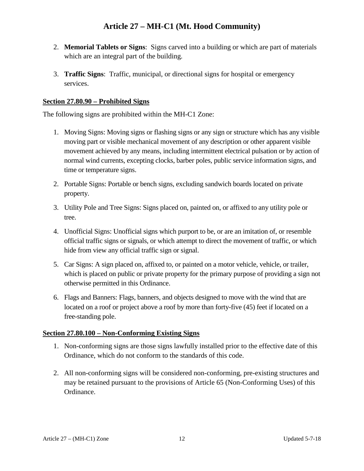- 2. **Memorial Tablets or Signs**: Signs carved into a building or which are part of materials which are an integral part of the building.
- 3. **Traffic Signs**: Traffic, municipal, or directional signs for hospital or emergency services.

### **Section 27.80.90 – Prohibited Signs**

The following signs are prohibited within the MH-C1 Zone:

- 1. Moving Signs: Moving signs or flashing signs or any sign or structure which has any visible moving part or visible mechanical movement of any description or other apparent visible movement achieved by any means, including intermittent electrical pulsation or by action of normal wind currents, excepting clocks, barber poles, public service information signs, and time or temperature signs.
- 2. Portable Signs: Portable or bench signs, excluding sandwich boards located on private property.
- 3. Utility Pole and Tree Signs: Signs placed on, painted on, or affixed to any utility pole or tree.
- 4. Unofficial Signs: Unofficial signs which purport to be, or are an imitation of, or resemble official traffic signs or signals, or which attempt to direct the movement of traffic, or which hide from view any official traffic sign or signal.
- 5. Car Signs: A sign placed on, affixed to, or painted on a motor vehicle, vehicle, or trailer, which is placed on public or private property for the primary purpose of providing a sign not otherwise permitted in this Ordinance.
- 6. Flags and Banners: Flags, banners, and objects designed to move with the wind that are located on a roof or project above a roof by more than forty-five (45) feet if located on a free-standing pole.

### **Section 27.80.100 – Non-Conforming Existing Signs**

- 1. Non-conforming signs are those signs lawfully installed prior to the effective date of this Ordinance, which do not conform to the standards of this code.
- 2. All non-conforming signs will be considered non-conforming, pre-existing structures and may be retained pursuant to the provisions of Article 65 (Non-Conforming Uses) of this Ordinance.